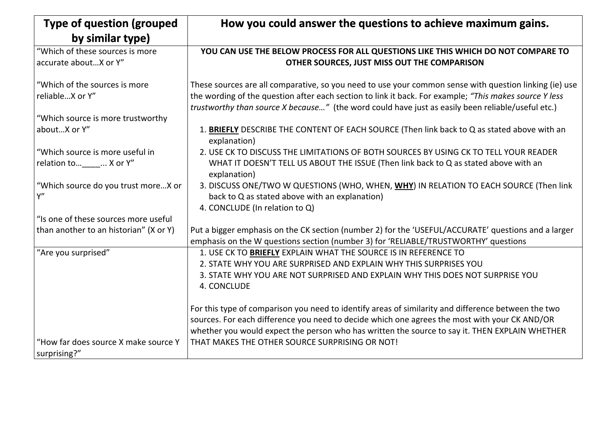| <b>Type of question (grouped)</b>                                                                                                         | How you could answer the questions to achieve may                                                                                                                                                                                                                                                                                                                                                                       |
|-------------------------------------------------------------------------------------------------------------------------------------------|-------------------------------------------------------------------------------------------------------------------------------------------------------------------------------------------------------------------------------------------------------------------------------------------------------------------------------------------------------------------------------------------------------------------------|
| by similar type)                                                                                                                          |                                                                                                                                                                                                                                                                                                                                                                                                                         |
| "Which of these sources is more<br>accurate about X or Y"                                                                                 | YOU CAN USE THE BELOW PROCESS FOR ALL QUESTIONS LIKE THIS WHICH<br>OTHER SOURCES, JUST MISS OUT THE COMPARISON                                                                                                                                                                                                                                                                                                          |
| "Which of the sources is more"<br>reliableX or Y"<br>"Which source is more trustworthy<br>aboutX or Y"<br>"Which source is more useful in | These sources are all comparative, so you need to use your common sense wit<br>the wording of the question after each section to link it back. For example; "Th<br><i>trustworthy than source X because</i> " (the word could have just as easily been<br>1. BRIEFLY DESCRIBE THE CONTENT OF EACH SOURCE (Then link back to Q at<br>explanation)<br>2. USE CK TO DISCUSS THE LIMITATIONS OF BOTH SOURCES BY USING CK TO |
| relation to  X or Y"<br>"Which source do you trust moreX or<br>Υ"                                                                         | WHAT IT DOESN'T TELL US ABOUT THE ISSUE (Then link back to Q as state<br>explanation)<br>3. DISCUSS ONE/TWO W QUESTIONS (WHO, WHEN, WHY) IN RELATION TO I<br>back to Q as stated above with an explanation)                                                                                                                                                                                                             |
| "Is one of these sources more useful                                                                                                      | 4. CONCLUDE (In relation to Q)                                                                                                                                                                                                                                                                                                                                                                                          |
| than another to an historian" (X or Y)                                                                                                    | Put a bigger emphasis on the CK section (number 2) for the 'USEFUL/ACCURAT<br>emphasis on the W questions section (number 3) for 'RELIABLE/TRUSTWORTH'                                                                                                                                                                                                                                                                  |
| "Are you surprised"                                                                                                                       | 1. USE CK TO BRIEFLY EXPLAIN WHAT THE SOURCE IS IN REFERENCE TO<br>2. STATE WHY YOU ARE SURPRISED AND EXPLAIN WHY THIS SURPRISES YOU<br>3. STATE WHY YOU ARE NOT SURPRISED AND EXPLAIN WHY THIS DOES NOT<br>4. CONCLUDE                                                                                                                                                                                                 |
| "How far does source X make source Y<br>surprising?"                                                                                      | For this type of comparison you need to identify areas of similarity and differer<br>sources. For each difference you need to decide which one agrees the most wi<br>whether you would expect the person who has written the source to say it. TH<br>THAT MAKES THE OTHER SOURCE SURPRISING OR NOT!                                                                                                                     |

### **How** *Fours* **and** *Row* **e maximum gains.**

### **WHICH DO NOT COMPARE TO ORISON**

nse with question linking (ie) use the; *"This makes source Y less ly been reliable/useful etc.*)

to Q as stated above with an

**CK TO TELL YOUR READER** It stated above with an

**ON TO EACH SOURCE (Then link** 

CURATE' questions and a larger **WORTHY' questions** 

**STATE STATE SIGNATE SURPRISE YOU** 

difference between the two nost with your CK AND/OR y it. THEN EXPLAIN WHETHER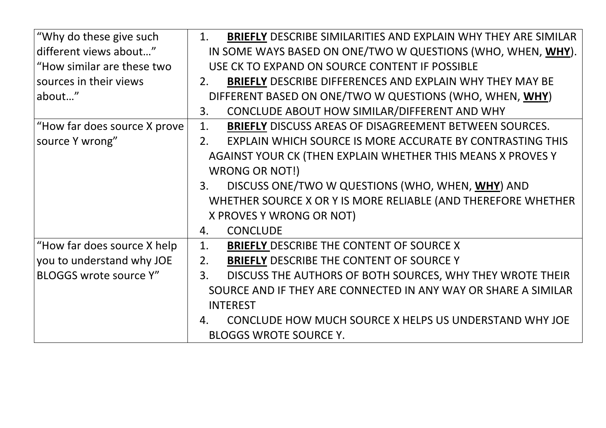| $\vert$ "Why do these give such | <b>BRIEFLY DESCRIBE SIMILARITIES AND EXPLAIN WHY THEY ARE SIM</b><br>1. |
|---------------------------------|-------------------------------------------------------------------------|
| different views about"          | IN SOME WAYS BASED ON ONE/TWO W QUESTIONS (WHO, WHEN, W                 |
| "How similar are these two      | USE CK TO EXPAND ON SOURCE CONTENT IF POSSIBLE                          |
| sources in their views          | <b>BRIEFLY DESCRIBE DIFFERENCES AND EXPLAIN WHY THEY MAY BE</b><br>2.   |
| about"                          | DIFFERENT BASED ON ONE/TWO W QUESTIONS (WHO, WHEN, WHY)                 |
|                                 | CONCLUDE ABOUT HOW SIMILAR/DIFFERENT AND WHY<br>3.                      |
| "How far does source X prove    | <b>BRIEFLY DISCUSS AREAS OF DISAGREEMENT BETWEEN SOURCES.</b><br>1.     |
| source Y wrong"                 | EXPLAIN WHICH SOURCE IS MORE ACCURATE BY CONTRASTING TH<br>2.           |
|                                 | AGAINST YOUR CK (THEN EXPLAIN WHETHER THIS MEANS X PROVES Y             |
|                                 | <b>WRONG OR NOT!)</b>                                                   |
|                                 | DISCUSS ONE/TWO W QUESTIONS (WHO, WHEN, WHY) AND<br>3.                  |
|                                 | WHETHER SOURCE X OR Y IS MORE RELIABLE (AND THEREFORE WHET              |
|                                 | X PROVES Y WRONG OR NOT)                                                |
|                                 | <b>CONCLUDE</b><br>4.                                                   |
| "How far does source X help     | <b>BRIEFLY DESCRIBE THE CONTENT OF SOURCE X</b><br>1.                   |
| you to understand why JOE       | <b>BRIEFLY DESCRIBE THE CONTENT OF SOURCE Y</b><br>2.                   |
| <b>BLOGGS wrote source Y"</b>   | DISCUSS THE AUTHORS OF BOTH SOURCES, WHY THEY WROTE TH<br>3.            |
|                                 | SOURCE AND IF THEY ARE CONNECTED IN ANY WAY OR SHARE A SIMIL            |
|                                 | <b>INTEREST</b>                                                         |
|                                 | CONCLUDE HOW MUCH SOURCE X HELPS US UNDERSTAND WHY J<br>4.              |
|                                 | <b>BLOGGS WROTE SOURCE Y.</b>                                           |

## JNDERSTAND WHY JOE

### **HY THEY WROTE THEIR** AY OR SHARE A SIMILAR

EN, WHY) AND D THEREFORE WHETHER

AND WHY **ETWEEN SOURCES.** BY CONTRASTING THIS MEANS X PROVES Y

**WHY THEY ARE SIMILAR NS (WHO, WHEN, WHY).**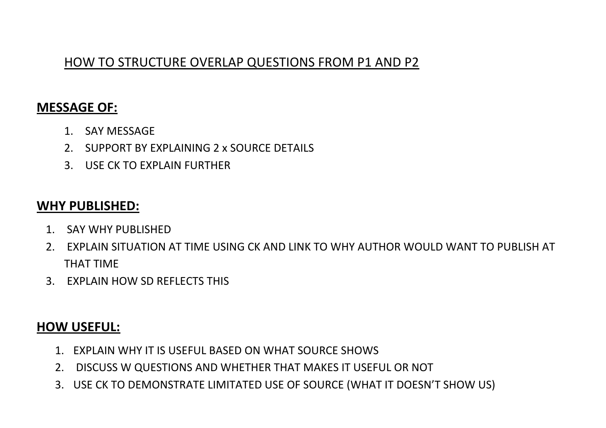### HOW TO STRUCTURE OVERLAP QUESTIONS FROM P1 AND P2

### **MESSAGE OF:**

- 1. SAY MESSAGE
- 2. SUPPORT BY EXPLAINING 2 x SOURCE DETAILS
- 3. USE CK TO EXPLAIN FURTHER

### **WHY PUBLISHED:**

- 1. SAY WHY PUBLISHED
- 2. EXPLAIN SITUATION AT TIME USING CK AND LINK TO WHY AUTHOR WOULD WANT TO PUBLISH AT THAT TIME
- 3. EXPLAIN HOW SD REFLECTS THIS

### **HOW USEFUL:**

- 1. EXPLAIN WHY IT IS USEFUL BASED ON WHAT SOURCE SHOWS
- 2. DISCUSS W QUESTIONS AND WHETHER THAT MAKES IT USEFUL OR NOT
- 3. USE CK TO DEMONSTRATE LIMITATED USE OF SOURCE (WHAT IT DOESN'T SHOW US)